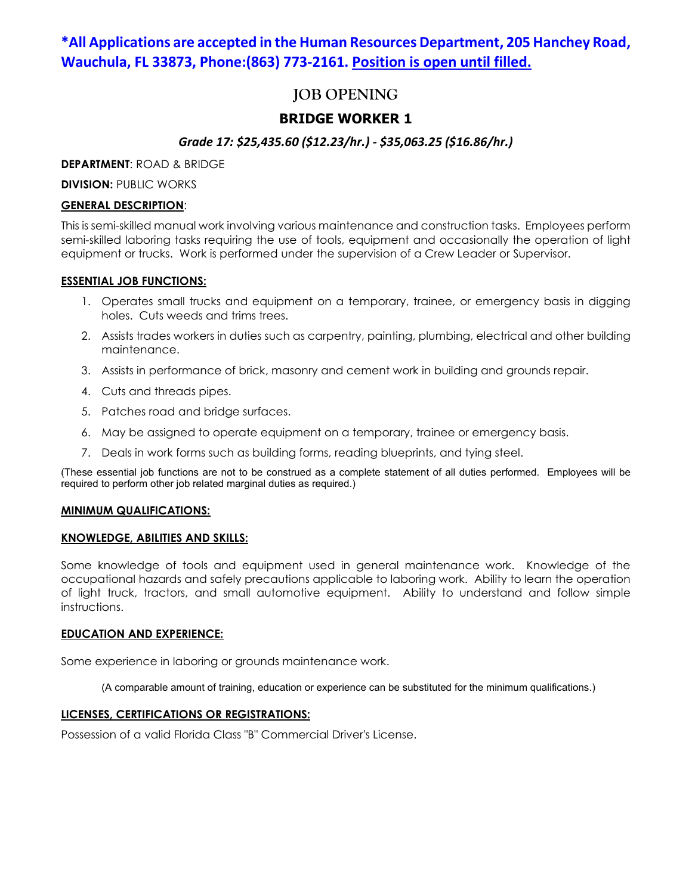## **\*All Applications are accepted in the Human Resources Department, 205 Hanchey Road, Wauchula, FL 33873, Phone:(863) 773-2161. Position is open until filled.**

# **JOB OPENING**

## **BRIDGE WORKER 1**

## *Grade 17: \$25,435.60 (\$12.23/hr.) - \$35,063.25 (\$16.86/hr.)*

**DEPARTMENT**: ROAD & BRIDGE

**DIVISION: PUBLIC WORKS** 

### **GENERAL DESCRIPTION**:

This is semi-skilled manual work involving various maintenance and construction tasks. Employees perform semi-skilled laboring tasks requiring the use of tools, equipment and occasionally the operation of light equipment or trucks. Work is performed under the supervision of a Crew Leader or Supervisor.

#### **ESSENTIAL JOB FUNCTIONS:**

- 1. Operates small trucks and equipment on a temporary, trainee, or emergency basis in digging holes. Cuts weeds and trims trees.
- 2. Assists trades workers in duties such as carpentry, painting, plumbing, electrical and other building maintenance.
- 3. Assists in performance of brick, masonry and cement work in building and grounds repair.
- 4. Cuts and threads pipes.
- 5. Patches road and bridge surfaces.
- 6. May be assigned to operate equipment on a temporary, trainee or emergency basis.
- 7. Deals in work forms such as building forms, reading blueprints, and tying steel.

(These essential job functions are not to be construed as a complete statement of all duties performed. Employees will be required to perform other job related marginal duties as required.)

#### **MINIMUM QUALIFICATIONS:**

#### **KNOWLEDGE, ABILITIES AND SKILLS:**

Some knowledge of tools and equipment used in general maintenance work. Knowledge of the occupational hazards and safely precautions applicable to laboring work. Ability to learn the operation of light truck, tractors, and small automotive equipment. Ability to understand and follow simple instructions.

#### **EDUCATION AND EXPERIENCE:**

Some experience in laboring or grounds maintenance work.

(A comparable amount of training, education or experience can be substituted for the minimum qualifications.)

### **LICENSES, CERTIFICATIONS OR REGISTRATIONS:**

Possession of a valid Florida Class "B" Commercial Driver's License.